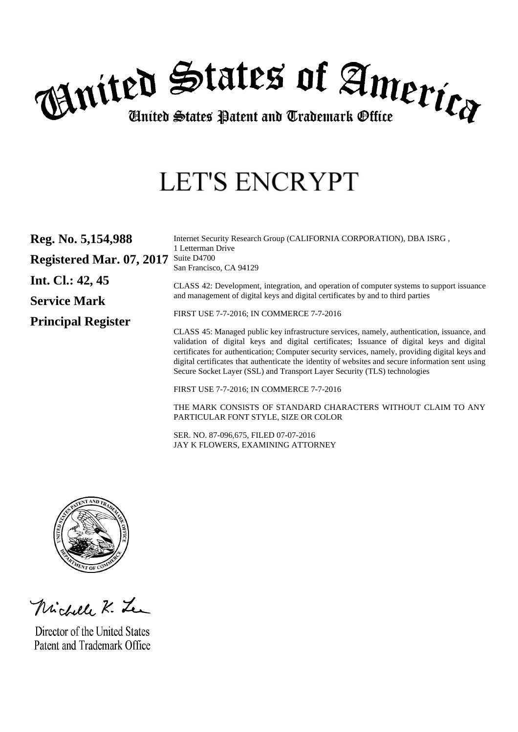

# **LET'S ENCRYPT**

| Reg. No. 5,154,988        | Internet Security Research Group (CALIFORNIA CORPORATION), DBA ISRG,<br>1 Letterman Drive                                                                                                                                                                                                                                                                                                                                                                                     |
|---------------------------|-------------------------------------------------------------------------------------------------------------------------------------------------------------------------------------------------------------------------------------------------------------------------------------------------------------------------------------------------------------------------------------------------------------------------------------------------------------------------------|
| Registered Mar. 07, 2017  | Suite D <sub>4700</sub><br>San Francisco, CA 94129                                                                                                                                                                                                                                                                                                                                                                                                                            |
| Int. Cl.: $42, 45$        | CLASS 42: Development, integration, and operation of computer systems to support issuance<br>and management of digital keys and digital certificates by and to third parties                                                                                                                                                                                                                                                                                                  |
| <b>Service Mark</b>       | FIRST USE 7-7-2016; IN COMMERCE 7-7-2016                                                                                                                                                                                                                                                                                                                                                                                                                                      |
| <b>Principal Register</b> |                                                                                                                                                                                                                                                                                                                                                                                                                                                                               |
|                           | CLASS 45: Managed public key infrastructure services, namely, authentication, issuance, and<br>validation of digital keys and digital certificates; Issuance of digital keys and digital<br>certificates for authentication; Computer security services, namely, providing digital keys and<br>digital certificates that authenticate the identity of websites and secure information sent using<br>Secure Socket Layer (SSL) and Transport Layer Security (TLS) technologies |
|                           | FIRST USE 7-7-2016; IN COMMERCE 7-7-2016                                                                                                                                                                                                                                                                                                                                                                                                                                      |

THE MARK CONSISTS OF STANDARD CHARACTERS WITHOUT CLAIM TO ANY PARTICULAR FONT STYLE, SIZE OR COLOR

SER. NO. 87-096,675, FILED 07-07-2016 JAY K FLOWERS, EXAMINING ATTORNEY



Michell K. Le

Director of the United States Patent and Trademark Office